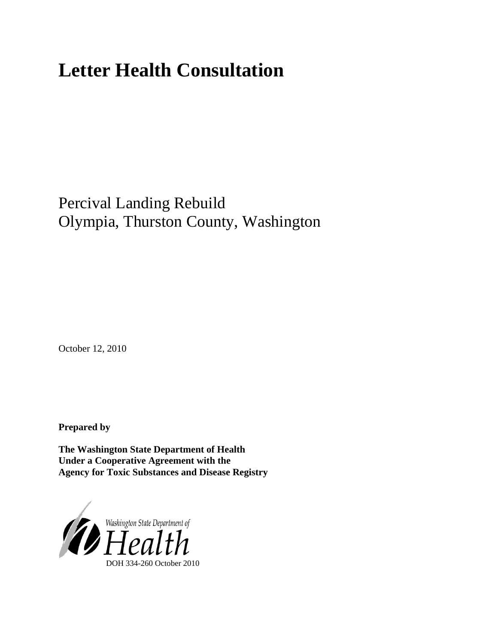# **Letter Health Consultation**

Percival Landing Rebuild Olympia, Thurston County, Washington

October 12, 2010

**Prepared by** 

**The Washington State Department of Health Under a Cooperative Agreement with the Agency for Toxic Substances and Disease Registry**

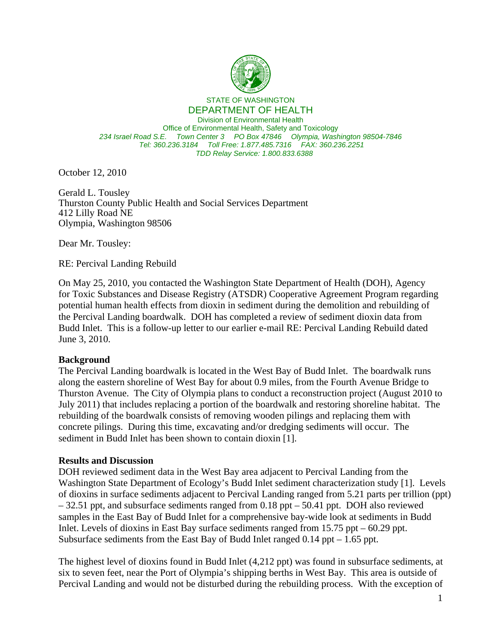

STATE OF WASHINGTON

DEPARTMENT OF HEALTH Division of Environmental Health Office of Environmental Health, Safety and Toxicology *234 Israel Road S.E. Town Center 3 PO Box 47846 Olympia, Washington 98504-7846 Tel: 360.236.3184 Toll Free: 1.877.485.7316 FAX: 360.236.2251 TDD Relay Service: 1.800.833.6388*

October 12, 2010

Gerald L. Tousley Thurston County Public Health and Social Services Department 412 Lilly Road NE Olympia, Washington 98506

Dear Mr. Tousley:

RE: Percival Landing Rebuild

On May 25, 2010, you contacted the Washington State Department of Health (DOH), Agency for Toxic Substances and Disease Registry (ATSDR) Cooperative Agreement Program regarding potential human health effects from dioxin in sediment during the demolition and rebuilding of the Percival Landing boardwalk. DOH has completed a review of sediment dioxin data from Budd Inlet. This is a follow-up letter to our earlier e-mail RE: Percival Landing Rebuild dated June 3, 2010.

#### **Background**

The Percival Landing boardwalk is located in the West Bay of Budd Inlet. The boardwalk runs along the eastern shoreline of West Bay for about 0.9 miles, from the Fourth Avenue Bridge to Thurston Avenue. The City of Olympia plans to conduct a reconstruction project (August 2010 to July 2011) that includes replacing a portion of the boardwalk and restoring shoreline habitat. The rebuilding of the boardwalk consists of removing wooden pilings and replacing them with concrete pilings. During this time, excavating and/or dredging sediments will occur. The sediment in Budd Inlet has been shown to contain dioxin [1].

#### **Results and Discussion**

DOH reviewed sediment data in the West Bay area adjacent to Percival Landing from the Washington State Department of Ecology's Budd Inlet sediment characterization study [1]. Levels of dioxins in surface sediments adjacent to Percival Landing ranged from 5.21 parts per trillion (ppt) – 32.51 ppt, and subsurface sediments ranged from 0.18 ppt – 50.41 ppt. DOH also reviewed samples in the East Bay of Budd Inlet for a comprehensive bay-wide look at sediments in Budd Inlet. Levels of dioxins in East Bay surface sediments ranged from 15.75 ppt – 60.29 ppt. Subsurface sediments from the East Bay of Budd Inlet ranged 0.14 ppt – 1.65 ppt.

The highest level of dioxins found in Budd Inlet (4,212 ppt) was found in subsurface sediments, at six to seven feet, near the Port of Olympia's shipping berths in West Bay. This area is outside of Percival Landing and would not be disturbed during the rebuilding process. With the exception of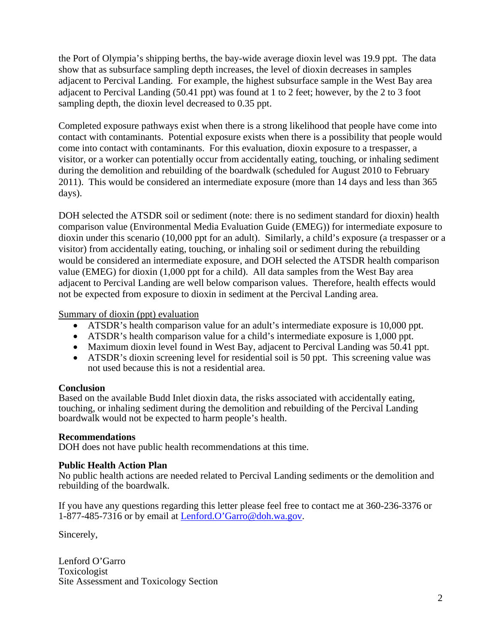the Port of Olympia's shipping berths, the bay-wide average dioxin level was 19.9 ppt. The data show that as subsurface sampling depth increases, the level of dioxin decreases in samples adjacent to Percival Landing. For example, the highest subsurface sample in the West Bay area adjacent to Percival Landing (50.41 ppt) was found at 1 to 2 feet; however, by the 2 to 3 foot sampling depth, the dioxin level decreased to 0.35 ppt.

Completed exposure pathways exist when there is a strong likelihood that people have come into contact with contaminants. Potential exposure exists when there is a possibility that people would come into contact with contaminants. For this evaluation, dioxin exposure to a trespasser, a visitor, or a worker can potentially occur from accidentally eating, touching, or inhaling sediment during the demolition and rebuilding of the boardwalk (scheduled for August 2010 to February 2011). This would be considered an intermediate exposure (more than 14 days and less than 365 days).

DOH selected the ATSDR soil or sediment (note: there is no sediment standard for dioxin) health comparison value (Environmental Media Evaluation Guide (EMEG)) for intermediate exposure to dioxin under this scenario (10,000 ppt for an adult). Similarly, a child's exposure (a trespasser or a visitor) from accidentally eating, touching, or inhaling soil or sediment during the rebuilding would be considered an intermediate exposure, and DOH selected the ATSDR health comparison value (EMEG) for dioxin (1,000 ppt for a child). All data samples from the West Bay area adjacent to Percival Landing are well below comparison values. Therefore, health effects would not be expected from exposure to dioxin in sediment at the Percival Landing area.

#### Summary of dioxin (ppt) evaluation

- ATSDR's health comparison value for an adult's intermediate exposure is 10,000 ppt.
- ATSDR's health comparison value for a child's intermediate exposure is 1,000 ppt.
- Maximum dioxin level found in West Bay, adjacent to Percival Landing was 50.41 ppt.
- ATSDR's dioxin screening level for residential soil is 50 ppt. This screening value was not used because this is not a residential area.

#### **Conclusion**

Based on the available Budd Inlet dioxin data, the risks associated with accidentally eating, touching, or inhaling sediment during the demolition and rebuilding of the Percival Landing boardwalk would not be expected to harm people's health.

#### **Recommendations**

DOH does not have public health recommendations at this time.

### **Public Health Action Plan**

No public health actions are needed related to Percival Landing sediments or the demolition and rebuilding of the boardwalk.

If you have any questions regarding this letter please feel free to contact me at 360-236-3376 or 1-877-485-7316 or by email at Lenford.O'Garro@doh.wa.gov.

Sincerely,

Lenford O'Garro Toxicologist Site Assessment and Toxicology Section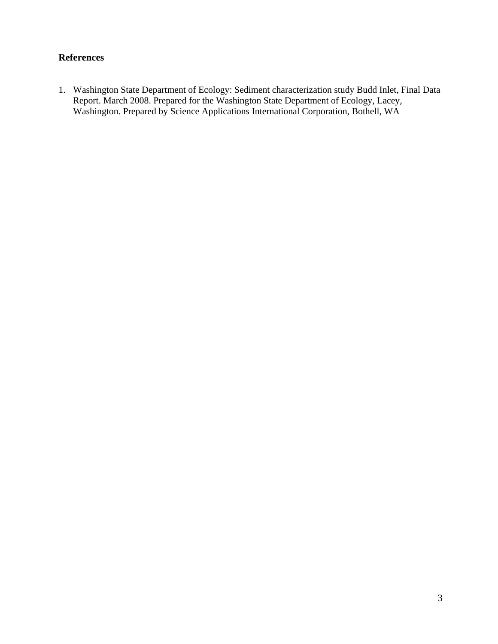## **References**

1. Washington State Department of Ecology: Sediment characterization study Budd Inlet, Final Data Report. March 2008. Prepared for the Washington State Department of Ecology, Lacey, Washington. Prepared by Science Applications International Corporation, Bothell, WA